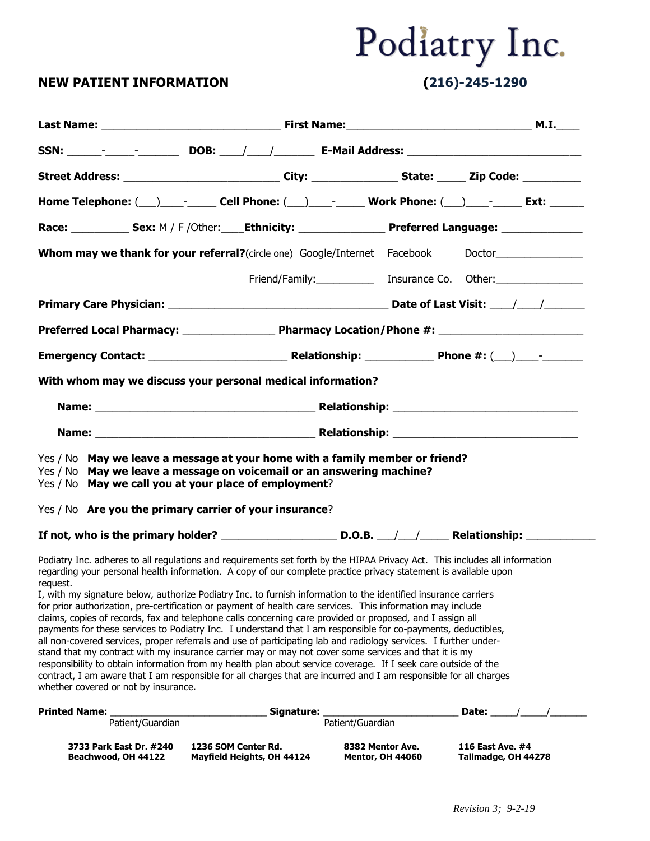### **NEW PATIENT INFORMATION (216)-245-1290**

| Street Address: ______________________________City: __________________State: _______Zip Code: ___________                                                                                                                                                                                                                                                                                                                                                                                                                                                                                                                                                                                                                                                                                                                                                                                                                                                                                                                                                                                                                                                                                                                              |                                                   |                                             |                                                                                                                |
|----------------------------------------------------------------------------------------------------------------------------------------------------------------------------------------------------------------------------------------------------------------------------------------------------------------------------------------------------------------------------------------------------------------------------------------------------------------------------------------------------------------------------------------------------------------------------------------------------------------------------------------------------------------------------------------------------------------------------------------------------------------------------------------------------------------------------------------------------------------------------------------------------------------------------------------------------------------------------------------------------------------------------------------------------------------------------------------------------------------------------------------------------------------------------------------------------------------------------------------|---------------------------------------------------|---------------------------------------------|----------------------------------------------------------------------------------------------------------------|
|                                                                                                                                                                                                                                                                                                                                                                                                                                                                                                                                                                                                                                                                                                                                                                                                                                                                                                                                                                                                                                                                                                                                                                                                                                        |                                                   |                                             |                                                                                                                |
| Race: ______________ Sex: M / F /Other: _____Ethnicity: _______________________Preferred Language: ______________                                                                                                                                                                                                                                                                                                                                                                                                                                                                                                                                                                                                                                                                                                                                                                                                                                                                                                                                                                                                                                                                                                                      |                                                   |                                             |                                                                                                                |
|                                                                                                                                                                                                                                                                                                                                                                                                                                                                                                                                                                                                                                                                                                                                                                                                                                                                                                                                                                                                                                                                                                                                                                                                                                        |                                                   |                                             |                                                                                                                |
|                                                                                                                                                                                                                                                                                                                                                                                                                                                                                                                                                                                                                                                                                                                                                                                                                                                                                                                                                                                                                                                                                                                                                                                                                                        |                                                   |                                             |                                                                                                                |
|                                                                                                                                                                                                                                                                                                                                                                                                                                                                                                                                                                                                                                                                                                                                                                                                                                                                                                                                                                                                                                                                                                                                                                                                                                        |                                                   |                                             |                                                                                                                |
|                                                                                                                                                                                                                                                                                                                                                                                                                                                                                                                                                                                                                                                                                                                                                                                                                                                                                                                                                                                                                                                                                                                                                                                                                                        |                                                   |                                             |                                                                                                                |
|                                                                                                                                                                                                                                                                                                                                                                                                                                                                                                                                                                                                                                                                                                                                                                                                                                                                                                                                                                                                                                                                                                                                                                                                                                        |                                                   |                                             |                                                                                                                |
| With whom may we discuss your personal medical information?                                                                                                                                                                                                                                                                                                                                                                                                                                                                                                                                                                                                                                                                                                                                                                                                                                                                                                                                                                                                                                                                                                                                                                            |                                                   |                                             |                                                                                                                |
|                                                                                                                                                                                                                                                                                                                                                                                                                                                                                                                                                                                                                                                                                                                                                                                                                                                                                                                                                                                                                                                                                                                                                                                                                                        |                                                   |                                             |                                                                                                                |
|                                                                                                                                                                                                                                                                                                                                                                                                                                                                                                                                                                                                                                                                                                                                                                                                                                                                                                                                                                                                                                                                                                                                                                                                                                        |                                                   |                                             |                                                                                                                |
| Yes / No May we leave a message at your home with a family member or friend?<br>Yes / No May we leave a message on voicemail or an answering machine?<br>Yes / No May we call you at your place of employment?                                                                                                                                                                                                                                                                                                                                                                                                                                                                                                                                                                                                                                                                                                                                                                                                                                                                                                                                                                                                                         |                                                   |                                             |                                                                                                                |
| Yes / No Are you the primary carrier of your insurance?                                                                                                                                                                                                                                                                                                                                                                                                                                                                                                                                                                                                                                                                                                                                                                                                                                                                                                                                                                                                                                                                                                                                                                                |                                                   |                                             |                                                                                                                |
|                                                                                                                                                                                                                                                                                                                                                                                                                                                                                                                                                                                                                                                                                                                                                                                                                                                                                                                                                                                                                                                                                                                                                                                                                                        |                                                   |                                             | If not, who is the primary holder? ___________________________________D.O.B. ___/___/_________________________ |
| Podiatry Inc. adheres to all regulations and requirements set forth by the HIPAA Privacy Act. This includes all information<br>regarding your personal health information. A copy of our complete practice privacy statement is available upon<br>request.<br>I, with my signature below, authorize Podiatry Inc. to furnish information to the identified insurance carriers<br>for prior authorization, pre-certification or payment of health care services. This information may include<br>claims, copies of records, fax and telephone calls concerning care provided or proposed, and I assign all<br>payments for these services to Podiatry Inc. I understand that I am responsible for co-payments, deductibles,<br>all non-covered services, proper referrals and use of participating lab and radiology services. I further under-<br>stand that my contract with my insurance carrier may or may not cover some services and that it is my<br>responsibility to obtain information from my health plan about service coverage. If I seek care outside of the<br>contract, I am aware that I am responsible for all charges that are incurred and I am responsible for all charges<br>whether covered or not by insurance. |                                                   |                                             |                                                                                                                |
| <b>Printed Name:</b><br>Patient/Guardian                                                                                                                                                                                                                                                                                                                                                                                                                                                                                                                                                                                                                                                                                                                                                                                                                                                                                                                                                                                                                                                                                                                                                                                               | Signature:                                        | Patient/Guardian                            | Date:                                                                                                          |
| 3733 Park East Dr. #240<br>Beachwood, OH 44122                                                                                                                                                                                                                                                                                                                                                                                                                                                                                                                                                                                                                                                                                                                                                                                                                                                                                                                                                                                                                                                                                                                                                                                         | 1236 SOM Center Rd.<br>Mayfield Heights, OH 44124 | 8382 Mentor Ave.<br><b>Mentor, OH 44060</b> | 116 East Ave. #4<br>Tallmadge, OH 44278                                                                        |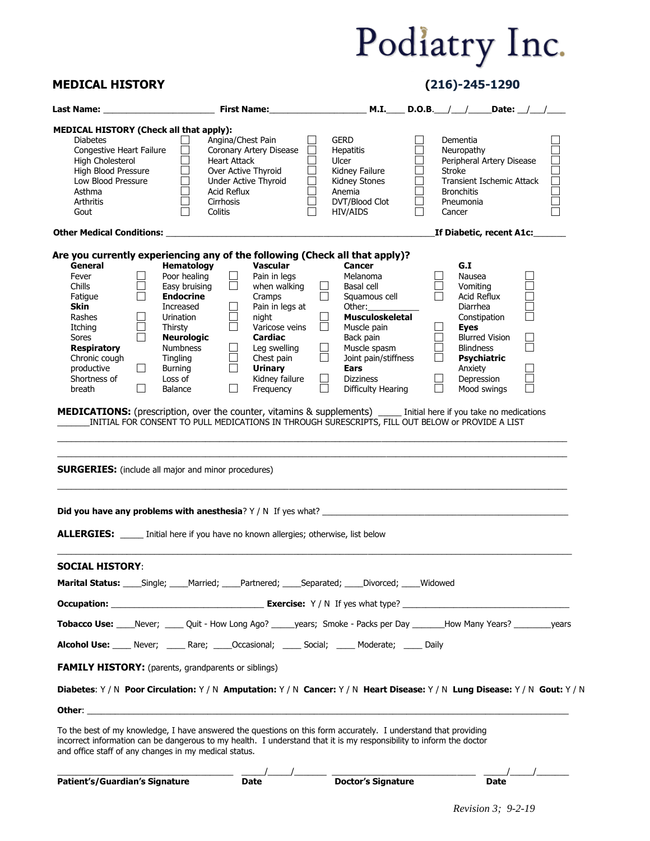### **MEDICAL HISTORY (216)-245-1290**

| MEDICAL HISTORY (Check all that apply):<br>Angina/Chest Pain<br><b>Diabetes</b><br>GERD<br>Dementia<br>$\Box$<br>$\Box$<br>$\Box$<br>Congestive Heart Failure<br>Coronary Artery Disease<br>Hepatitis<br>Neuropathy<br>Ulcer<br>$\Box$<br><b>Heart Attack</b><br>П<br>Peripheral Artery Disease<br><b>High Cholesterol</b><br>High Cholesterol<br>High Blood Pressure<br>$\Box$<br>Over Active Thyroid<br>Kidney Failure<br>Stroke<br>$\Box$<br>$\overline{\Box}$<br>$\Box$<br>Low Blood Pressure<br>Kidney Stones<br>Under Active Thyroid<br>Transient Ischemic Attack<br>Acid Reflux<br>Anemia<br>Asthma<br><b>Bronchitis</b><br>DVT/Blood Clot<br>Arthritis<br>Cirrhosis<br>Pneumonia<br>П<br>Colitis<br>HIV/AIDS<br>Gout<br>Cancer<br>_If Diabetic, recent A1c:______<br>Are you currently experiencing any of the following (Check all that apply)?<br>Hematology<br>Vascular<br>G.I<br>General<br><b>Cancer</b><br>$\Box$<br>Poor healing<br>$\Box$<br>Pain in legs<br>Melanoma<br>Nausea<br>Fever<br>$\Box$<br>$\Box$<br>$\Box$<br>Vomiting<br>Chills<br>Easy bruising<br>when walking<br>Basal cell<br>$\Box$<br>$\Box$<br>Squamous cell<br>$\Box$<br><b>Endocrine</b><br>Cramps<br>Acid Reflux<br>Fatigue<br>Pain in legs at<br><b>Skin</b><br>Other: $\sqrt{ }$<br>Diarrhea<br>Increased<br>ப<br>$\Box$<br>Musculoskeletal<br>П<br>Constipation<br>Rashes<br>Urination<br>night<br>$\Box$<br>$\Box$<br>$\Box$<br>Varicose veins<br>Itching<br>Thirsty<br>$\Box$<br>Muscle pain<br><b>Eyes</b><br>ō<br>$\Box$<br><b>Neurologic</b><br>Back pain<br><b>Blurred Vision</b><br>Sores<br>Cardiac<br>$\Box$<br>$\Box$<br>Muscle spasm<br><b>Respiratory</b><br>Numbness<br>Leg swelling<br><b>Blindness</b><br>Chest pain<br>$\Box$<br>Joint pain/stiffness<br>Chronic cough<br>Tingling<br>$\Box$<br>$\Box$<br>Psychiatric<br>$\Box$<br>$\Box$<br><b>Urinary</b><br>productive<br>Burning<br><b>Ears</b><br>Anxiety<br>$\Box$<br>Kidney failure<br><b>Dizziness</b><br>$\Box$<br>Depression<br>Shortness of<br>Loss of<br>ħ<br>$\Box$<br>$\Box$<br>Frequency<br>Mood swings<br>breath<br>$\Box$<br>Balance<br>Difficulty Hearing<br>MEDICATIONS: (prescription, over the counter, vitamins & supplements) _____ Initial here if you take no medications<br>INITIAL FOR CONSENT TO PULL MEDICATIONS IN THROUGH SURESCRIPTS, FILL OUT BELOW or PROVIDE A LIST<br><b>SURGERIES:</b> (include all major and minor procedures)<br><b>ALLERGIES:</b> _____ Initial here if you have no known allergies; otherwise, list below<br><b>SOCIAL HISTORY:</b><br>Marital Status: ____Single; ____Married; ____Partnered; ____Separated; ____Divorced; ____Widowed<br>Tobacco Use: Never; Mult - How Long Ago? Mayens; Smoke - Packs per Day Many Years? Many Years? Nears?<br>Alcohol Use: _____ Never; _____ Rare; _____Occasional; _____ Social; _____ Moderate; _____ Daily<br><b>FAMILY HISTORY:</b> (parents, grandparents or siblings)<br>Diabetes: Y / N Poor Circulation: Y / N Amputation: Y / N Cancer: Y / N Heart Disease: Y / N Lung Disease: Y / N Gout: Y / N<br><b>Other:</b> the contract of the contract of the contract of the contract of the contract of the contract of the contract of the contract of the contract of the contract of the contract of the contract of the contract of the c<br>To the best of my knowledge, I have answered the questions on this form accurately. I understand that providing<br>incorrect information can be dangerous to my health. I understand that it is my responsibility to inform the doctor<br>and office staff of any changes in my medical status.<br>$\overbrace{\hspace{2.5cm}}$ $\overbrace{\hspace{2.5cm}}$ Doctor's Signature<br>Patient's/Guardian's Signature<br><b>Date</b><br>Date |  |  | <b>M.I.</b> D.O.B. $/$ Denote: $/$ |  |  |
|----------------------------------------------------------------------------------------------------------------------------------------------------------------------------------------------------------------------------------------------------------------------------------------------------------------------------------------------------------------------------------------------------------------------------------------------------------------------------------------------------------------------------------------------------------------------------------------------------------------------------------------------------------------------------------------------------------------------------------------------------------------------------------------------------------------------------------------------------------------------------------------------------------------------------------------------------------------------------------------------------------------------------------------------------------------------------------------------------------------------------------------------------------------------------------------------------------------------------------------------------------------------------------------------------------------------------------------------------------------------------------------------------------------------------------------------------------------------------------------------------------------------------------------------------------------------------------------------------------------------------------------------------------------------------------------------------------------------------------------------------------------------------------------------------------------------------------------------------------------------------------------------------------------------------------------------------------------------------------------------------------------------------------------------------------------------------------------------------------------------------------------------------------------------------------------------------------------------------------------------------------------------------------------------------------------------------------------------------------------------------------------------------------------------------------------------------------------------------------------------------------------------------------------------------------------------------------------------------------------------------------------------------------------------------------------------------------------------------------------------------------------------------------------------------------------------------------------------------------------------------------------------------------------------------------------------------------------------------------------------------------------------------------------------------------------------------------------------------------------------------------------------------------------------------------------------------------------------------------------------------------------------------------------------------------------------------------------------------------------------------------------------------------------------------------------------------------------------------------------------------------------------------------------------------------------------------------------------------------------------------------------------------------------------------------------------------------------------------------------------------------|--|--|------------------------------------|--|--|
|                                                                                                                                                                                                                                                                                                                                                                                                                                                                                                                                                                                                                                                                                                                                                                                                                                                                                                                                                                                                                                                                                                                                                                                                                                                                                                                                                                                                                                                                                                                                                                                                                                                                                                                                                                                                                                                                                                                                                                                                                                                                                                                                                                                                                                                                                                                                                                                                                                                                                                                                                                                                                                                                                                                                                                                                                                                                                                                                                                                                                                                                                                                                                                                                                                                                                                                                                                                                                                                                                                                                                                                                                                                                                                                                                          |  |  |                                    |  |  |
|                                                                                                                                                                                                                                                                                                                                                                                                                                                                                                                                                                                                                                                                                                                                                                                                                                                                                                                                                                                                                                                                                                                                                                                                                                                                                                                                                                                                                                                                                                                                                                                                                                                                                                                                                                                                                                                                                                                                                                                                                                                                                                                                                                                                                                                                                                                                                                                                                                                                                                                                                                                                                                                                                                                                                                                                                                                                                                                                                                                                                                                                                                                                                                                                                                                                                                                                                                                                                                                                                                                                                                                                                                                                                                                                                          |  |  |                                    |  |  |
|                                                                                                                                                                                                                                                                                                                                                                                                                                                                                                                                                                                                                                                                                                                                                                                                                                                                                                                                                                                                                                                                                                                                                                                                                                                                                                                                                                                                                                                                                                                                                                                                                                                                                                                                                                                                                                                                                                                                                                                                                                                                                                                                                                                                                                                                                                                                                                                                                                                                                                                                                                                                                                                                                                                                                                                                                                                                                                                                                                                                                                                                                                                                                                                                                                                                                                                                                                                                                                                                                                                                                                                                                                                                                                                                                          |  |  |                                    |  |  |
|                                                                                                                                                                                                                                                                                                                                                                                                                                                                                                                                                                                                                                                                                                                                                                                                                                                                                                                                                                                                                                                                                                                                                                                                                                                                                                                                                                                                                                                                                                                                                                                                                                                                                                                                                                                                                                                                                                                                                                                                                                                                                                                                                                                                                                                                                                                                                                                                                                                                                                                                                                                                                                                                                                                                                                                                                                                                                                                                                                                                                                                                                                                                                                                                                                                                                                                                                                                                                                                                                                                                                                                                                                                                                                                                                          |  |  |                                    |  |  |
|                                                                                                                                                                                                                                                                                                                                                                                                                                                                                                                                                                                                                                                                                                                                                                                                                                                                                                                                                                                                                                                                                                                                                                                                                                                                                                                                                                                                                                                                                                                                                                                                                                                                                                                                                                                                                                                                                                                                                                                                                                                                                                                                                                                                                                                                                                                                                                                                                                                                                                                                                                                                                                                                                                                                                                                                                                                                                                                                                                                                                                                                                                                                                                                                                                                                                                                                                                                                                                                                                                                                                                                                                                                                                                                                                          |  |  |                                    |  |  |
|                                                                                                                                                                                                                                                                                                                                                                                                                                                                                                                                                                                                                                                                                                                                                                                                                                                                                                                                                                                                                                                                                                                                                                                                                                                                                                                                                                                                                                                                                                                                                                                                                                                                                                                                                                                                                                                                                                                                                                                                                                                                                                                                                                                                                                                                                                                                                                                                                                                                                                                                                                                                                                                                                                                                                                                                                                                                                                                                                                                                                                                                                                                                                                                                                                                                                                                                                                                                                                                                                                                                                                                                                                                                                                                                                          |  |  |                                    |  |  |
|                                                                                                                                                                                                                                                                                                                                                                                                                                                                                                                                                                                                                                                                                                                                                                                                                                                                                                                                                                                                                                                                                                                                                                                                                                                                                                                                                                                                                                                                                                                                                                                                                                                                                                                                                                                                                                                                                                                                                                                                                                                                                                                                                                                                                                                                                                                                                                                                                                                                                                                                                                                                                                                                                                                                                                                                                                                                                                                                                                                                                                                                                                                                                                                                                                                                                                                                                                                                                                                                                                                                                                                                                                                                                                                                                          |  |  |                                    |  |  |
|                                                                                                                                                                                                                                                                                                                                                                                                                                                                                                                                                                                                                                                                                                                                                                                                                                                                                                                                                                                                                                                                                                                                                                                                                                                                                                                                                                                                                                                                                                                                                                                                                                                                                                                                                                                                                                                                                                                                                                                                                                                                                                                                                                                                                                                                                                                                                                                                                                                                                                                                                                                                                                                                                                                                                                                                                                                                                                                                                                                                                                                                                                                                                                                                                                                                                                                                                                                                                                                                                                                                                                                                                                                                                                                                                          |  |  |                                    |  |  |
|                                                                                                                                                                                                                                                                                                                                                                                                                                                                                                                                                                                                                                                                                                                                                                                                                                                                                                                                                                                                                                                                                                                                                                                                                                                                                                                                                                                                                                                                                                                                                                                                                                                                                                                                                                                                                                                                                                                                                                                                                                                                                                                                                                                                                                                                                                                                                                                                                                                                                                                                                                                                                                                                                                                                                                                                                                                                                                                                                                                                                                                                                                                                                                                                                                                                                                                                                                                                                                                                                                                                                                                                                                                                                                                                                          |  |  |                                    |  |  |
|                                                                                                                                                                                                                                                                                                                                                                                                                                                                                                                                                                                                                                                                                                                                                                                                                                                                                                                                                                                                                                                                                                                                                                                                                                                                                                                                                                                                                                                                                                                                                                                                                                                                                                                                                                                                                                                                                                                                                                                                                                                                                                                                                                                                                                                                                                                                                                                                                                                                                                                                                                                                                                                                                                                                                                                                                                                                                                                                                                                                                                                                                                                                                                                                                                                                                                                                                                                                                                                                                                                                                                                                                                                                                                                                                          |  |  |                                    |  |  |
|                                                                                                                                                                                                                                                                                                                                                                                                                                                                                                                                                                                                                                                                                                                                                                                                                                                                                                                                                                                                                                                                                                                                                                                                                                                                                                                                                                                                                                                                                                                                                                                                                                                                                                                                                                                                                                                                                                                                                                                                                                                                                                                                                                                                                                                                                                                                                                                                                                                                                                                                                                                                                                                                                                                                                                                                                                                                                                                                                                                                                                                                                                                                                                                                                                                                                                                                                                                                                                                                                                                                                                                                                                                                                                                                                          |  |  |                                    |  |  |
|                                                                                                                                                                                                                                                                                                                                                                                                                                                                                                                                                                                                                                                                                                                                                                                                                                                                                                                                                                                                                                                                                                                                                                                                                                                                                                                                                                                                                                                                                                                                                                                                                                                                                                                                                                                                                                                                                                                                                                                                                                                                                                                                                                                                                                                                                                                                                                                                                                                                                                                                                                                                                                                                                                                                                                                                                                                                                                                                                                                                                                                                                                                                                                                                                                                                                                                                                                                                                                                                                                                                                                                                                                                                                                                                                          |  |  |                                    |  |  |
|                                                                                                                                                                                                                                                                                                                                                                                                                                                                                                                                                                                                                                                                                                                                                                                                                                                                                                                                                                                                                                                                                                                                                                                                                                                                                                                                                                                                                                                                                                                                                                                                                                                                                                                                                                                                                                                                                                                                                                                                                                                                                                                                                                                                                                                                                                                                                                                                                                                                                                                                                                                                                                                                                                                                                                                                                                                                                                                                                                                                                                                                                                                                                                                                                                                                                                                                                                                                                                                                                                                                                                                                                                                                                                                                                          |  |  |                                    |  |  |
|                                                                                                                                                                                                                                                                                                                                                                                                                                                                                                                                                                                                                                                                                                                                                                                                                                                                                                                                                                                                                                                                                                                                                                                                                                                                                                                                                                                                                                                                                                                                                                                                                                                                                                                                                                                                                                                                                                                                                                                                                                                                                                                                                                                                                                                                                                                                                                                                                                                                                                                                                                                                                                                                                                                                                                                                                                                                                                                                                                                                                                                                                                                                                                                                                                                                                                                                                                                                                                                                                                                                                                                                                                                                                                                                                          |  |  |                                    |  |  |
|                                                                                                                                                                                                                                                                                                                                                                                                                                                                                                                                                                                                                                                                                                                                                                                                                                                                                                                                                                                                                                                                                                                                                                                                                                                                                                                                                                                                                                                                                                                                                                                                                                                                                                                                                                                                                                                                                                                                                                                                                                                                                                                                                                                                                                                                                                                                                                                                                                                                                                                                                                                                                                                                                                                                                                                                                                                                                                                                                                                                                                                                                                                                                                                                                                                                                                                                                                                                                                                                                                                                                                                                                                                                                                                                                          |  |  |                                    |  |  |
|                                                                                                                                                                                                                                                                                                                                                                                                                                                                                                                                                                                                                                                                                                                                                                                                                                                                                                                                                                                                                                                                                                                                                                                                                                                                                                                                                                                                                                                                                                                                                                                                                                                                                                                                                                                                                                                                                                                                                                                                                                                                                                                                                                                                                                                                                                                                                                                                                                                                                                                                                                                                                                                                                                                                                                                                                                                                                                                                                                                                                                                                                                                                                                                                                                                                                                                                                                                                                                                                                                                                                                                                                                                                                                                                                          |  |  |                                    |  |  |
|                                                                                                                                                                                                                                                                                                                                                                                                                                                                                                                                                                                                                                                                                                                                                                                                                                                                                                                                                                                                                                                                                                                                                                                                                                                                                                                                                                                                                                                                                                                                                                                                                                                                                                                                                                                                                                                                                                                                                                                                                                                                                                                                                                                                                                                                                                                                                                                                                                                                                                                                                                                                                                                                                                                                                                                                                                                                                                                                                                                                                                                                                                                                                                                                                                                                                                                                                                                                                                                                                                                                                                                                                                                                                                                                                          |  |  |                                    |  |  |
|                                                                                                                                                                                                                                                                                                                                                                                                                                                                                                                                                                                                                                                                                                                                                                                                                                                                                                                                                                                                                                                                                                                                                                                                                                                                                                                                                                                                                                                                                                                                                                                                                                                                                                                                                                                                                                                                                                                                                                                                                                                                                                                                                                                                                                                                                                                                                                                                                                                                                                                                                                                                                                                                                                                                                                                                                                                                                                                                                                                                                                                                                                                                                                                                                                                                                                                                                                                                                                                                                                                                                                                                                                                                                                                                                          |  |  |                                    |  |  |
|                                                                                                                                                                                                                                                                                                                                                                                                                                                                                                                                                                                                                                                                                                                                                                                                                                                                                                                                                                                                                                                                                                                                                                                                                                                                                                                                                                                                                                                                                                                                                                                                                                                                                                                                                                                                                                                                                                                                                                                                                                                                                                                                                                                                                                                                                                                                                                                                                                                                                                                                                                                                                                                                                                                                                                                                                                                                                                                                                                                                                                                                                                                                                                                                                                                                                                                                                                                                                                                                                                                                                                                                                                                                                                                                                          |  |  |                                    |  |  |
|                                                                                                                                                                                                                                                                                                                                                                                                                                                                                                                                                                                                                                                                                                                                                                                                                                                                                                                                                                                                                                                                                                                                                                                                                                                                                                                                                                                                                                                                                                                                                                                                                                                                                                                                                                                                                                                                                                                                                                                                                                                                                                                                                                                                                                                                                                                                                                                                                                                                                                                                                                                                                                                                                                                                                                                                                                                                                                                                                                                                                                                                                                                                                                                                                                                                                                                                                                                                                                                                                                                                                                                                                                                                                                                                                          |  |  |                                    |  |  |
|                                                                                                                                                                                                                                                                                                                                                                                                                                                                                                                                                                                                                                                                                                                                                                                                                                                                                                                                                                                                                                                                                                                                                                                                                                                                                                                                                                                                                                                                                                                                                                                                                                                                                                                                                                                                                                                                                                                                                                                                                                                                                                                                                                                                                                                                                                                                                                                                                                                                                                                                                                                                                                                                                                                                                                                                                                                                                                                                                                                                                                                                                                                                                                                                                                                                                                                                                                                                                                                                                                                                                                                                                                                                                                                                                          |  |  |                                    |  |  |
|                                                                                                                                                                                                                                                                                                                                                                                                                                                                                                                                                                                                                                                                                                                                                                                                                                                                                                                                                                                                                                                                                                                                                                                                                                                                                                                                                                                                                                                                                                                                                                                                                                                                                                                                                                                                                                                                                                                                                                                                                                                                                                                                                                                                                                                                                                                                                                                                                                                                                                                                                                                                                                                                                                                                                                                                                                                                                                                                                                                                                                                                                                                                                                                                                                                                                                                                                                                                                                                                                                                                                                                                                                                                                                                                                          |  |  |                                    |  |  |
|                                                                                                                                                                                                                                                                                                                                                                                                                                                                                                                                                                                                                                                                                                                                                                                                                                                                                                                                                                                                                                                                                                                                                                                                                                                                                                                                                                                                                                                                                                                                                                                                                                                                                                                                                                                                                                                                                                                                                                                                                                                                                                                                                                                                                                                                                                                                                                                                                                                                                                                                                                                                                                                                                                                                                                                                                                                                                                                                                                                                                                                                                                                                                                                                                                                                                                                                                                                                                                                                                                                                                                                                                                                                                                                                                          |  |  |                                    |  |  |
|                                                                                                                                                                                                                                                                                                                                                                                                                                                                                                                                                                                                                                                                                                                                                                                                                                                                                                                                                                                                                                                                                                                                                                                                                                                                                                                                                                                                                                                                                                                                                                                                                                                                                                                                                                                                                                                                                                                                                                                                                                                                                                                                                                                                                                                                                                                                                                                                                                                                                                                                                                                                                                                                                                                                                                                                                                                                                                                                                                                                                                                                                                                                                                                                                                                                                                                                                                                                                                                                                                                                                                                                                                                                                                                                                          |  |  |                                    |  |  |
|                                                                                                                                                                                                                                                                                                                                                                                                                                                                                                                                                                                                                                                                                                                                                                                                                                                                                                                                                                                                                                                                                                                                                                                                                                                                                                                                                                                                                                                                                                                                                                                                                                                                                                                                                                                                                                                                                                                                                                                                                                                                                                                                                                                                                                                                                                                                                                                                                                                                                                                                                                                                                                                                                                                                                                                                                                                                                                                                                                                                                                                                                                                                                                                                                                                                                                                                                                                                                                                                                                                                                                                                                                                                                                                                                          |  |  |                                    |  |  |
|                                                                                                                                                                                                                                                                                                                                                                                                                                                                                                                                                                                                                                                                                                                                                                                                                                                                                                                                                                                                                                                                                                                                                                                                                                                                                                                                                                                                                                                                                                                                                                                                                                                                                                                                                                                                                                                                                                                                                                                                                                                                                                                                                                                                                                                                                                                                                                                                                                                                                                                                                                                                                                                                                                                                                                                                                                                                                                                                                                                                                                                                                                                                                                                                                                                                                                                                                                                                                                                                                                                                                                                                                                                                                                                                                          |  |  |                                    |  |  |
|                                                                                                                                                                                                                                                                                                                                                                                                                                                                                                                                                                                                                                                                                                                                                                                                                                                                                                                                                                                                                                                                                                                                                                                                                                                                                                                                                                                                                                                                                                                                                                                                                                                                                                                                                                                                                                                                                                                                                                                                                                                                                                                                                                                                                                                                                                                                                                                                                                                                                                                                                                                                                                                                                                                                                                                                                                                                                                                                                                                                                                                                                                                                                                                                                                                                                                                                                                                                                                                                                                                                                                                                                                                                                                                                                          |  |  |                                    |  |  |
|                                                                                                                                                                                                                                                                                                                                                                                                                                                                                                                                                                                                                                                                                                                                                                                                                                                                                                                                                                                                                                                                                                                                                                                                                                                                                                                                                                                                                                                                                                                                                                                                                                                                                                                                                                                                                                                                                                                                                                                                                                                                                                                                                                                                                                                                                                                                                                                                                                                                                                                                                                                                                                                                                                                                                                                                                                                                                                                                                                                                                                                                                                                                                                                                                                                                                                                                                                                                                                                                                                                                                                                                                                                                                                                                                          |  |  |                                    |  |  |
|                                                                                                                                                                                                                                                                                                                                                                                                                                                                                                                                                                                                                                                                                                                                                                                                                                                                                                                                                                                                                                                                                                                                                                                                                                                                                                                                                                                                                                                                                                                                                                                                                                                                                                                                                                                                                                                                                                                                                                                                                                                                                                                                                                                                                                                                                                                                                                                                                                                                                                                                                                                                                                                                                                                                                                                                                                                                                                                                                                                                                                                                                                                                                                                                                                                                                                                                                                                                                                                                                                                                                                                                                                                                                                                                                          |  |  |                                    |  |  |
|                                                                                                                                                                                                                                                                                                                                                                                                                                                                                                                                                                                                                                                                                                                                                                                                                                                                                                                                                                                                                                                                                                                                                                                                                                                                                                                                                                                                                                                                                                                                                                                                                                                                                                                                                                                                                                                                                                                                                                                                                                                                                                                                                                                                                                                                                                                                                                                                                                                                                                                                                                                                                                                                                                                                                                                                                                                                                                                                                                                                                                                                                                                                                                                                                                                                                                                                                                                                                                                                                                                                                                                                                                                                                                                                                          |  |  |                                    |  |  |
|                                                                                                                                                                                                                                                                                                                                                                                                                                                                                                                                                                                                                                                                                                                                                                                                                                                                                                                                                                                                                                                                                                                                                                                                                                                                                                                                                                                                                                                                                                                                                                                                                                                                                                                                                                                                                                                                                                                                                                                                                                                                                                                                                                                                                                                                                                                                                                                                                                                                                                                                                                                                                                                                                                                                                                                                                                                                                                                                                                                                                                                                                                                                                                                                                                                                                                                                                                                                                                                                                                                                                                                                                                                                                                                                                          |  |  |                                    |  |  |
|                                                                                                                                                                                                                                                                                                                                                                                                                                                                                                                                                                                                                                                                                                                                                                                                                                                                                                                                                                                                                                                                                                                                                                                                                                                                                                                                                                                                                                                                                                                                                                                                                                                                                                                                                                                                                                                                                                                                                                                                                                                                                                                                                                                                                                                                                                                                                                                                                                                                                                                                                                                                                                                                                                                                                                                                                                                                                                                                                                                                                                                                                                                                                                                                                                                                                                                                                                                                                                                                                                                                                                                                                                                                                                                                                          |  |  |                                    |  |  |
|                                                                                                                                                                                                                                                                                                                                                                                                                                                                                                                                                                                                                                                                                                                                                                                                                                                                                                                                                                                                                                                                                                                                                                                                                                                                                                                                                                                                                                                                                                                                                                                                                                                                                                                                                                                                                                                                                                                                                                                                                                                                                                                                                                                                                                                                                                                                                                                                                                                                                                                                                                                                                                                                                                                                                                                                                                                                                                                                                                                                                                                                                                                                                                                                                                                                                                                                                                                                                                                                                                                                                                                                                                                                                                                                                          |  |  |                                    |  |  |
|                                                                                                                                                                                                                                                                                                                                                                                                                                                                                                                                                                                                                                                                                                                                                                                                                                                                                                                                                                                                                                                                                                                                                                                                                                                                                                                                                                                                                                                                                                                                                                                                                                                                                                                                                                                                                                                                                                                                                                                                                                                                                                                                                                                                                                                                                                                                                                                                                                                                                                                                                                                                                                                                                                                                                                                                                                                                                                                                                                                                                                                                                                                                                                                                                                                                                                                                                                                                                                                                                                                                                                                                                                                                                                                                                          |  |  |                                    |  |  |
|                                                                                                                                                                                                                                                                                                                                                                                                                                                                                                                                                                                                                                                                                                                                                                                                                                                                                                                                                                                                                                                                                                                                                                                                                                                                                                                                                                                                                                                                                                                                                                                                                                                                                                                                                                                                                                                                                                                                                                                                                                                                                                                                                                                                                                                                                                                                                                                                                                                                                                                                                                                                                                                                                                                                                                                                                                                                                                                                                                                                                                                                                                                                                                                                                                                                                                                                                                                                                                                                                                                                                                                                                                                                                                                                                          |  |  |                                    |  |  |
|                                                                                                                                                                                                                                                                                                                                                                                                                                                                                                                                                                                                                                                                                                                                                                                                                                                                                                                                                                                                                                                                                                                                                                                                                                                                                                                                                                                                                                                                                                                                                                                                                                                                                                                                                                                                                                                                                                                                                                                                                                                                                                                                                                                                                                                                                                                                                                                                                                                                                                                                                                                                                                                                                                                                                                                                                                                                                                                                                                                                                                                                                                                                                                                                                                                                                                                                                                                                                                                                                                                                                                                                                                                                                                                                                          |  |  |                                    |  |  |
|                                                                                                                                                                                                                                                                                                                                                                                                                                                                                                                                                                                                                                                                                                                                                                                                                                                                                                                                                                                                                                                                                                                                                                                                                                                                                                                                                                                                                                                                                                                                                                                                                                                                                                                                                                                                                                                                                                                                                                                                                                                                                                                                                                                                                                                                                                                                                                                                                                                                                                                                                                                                                                                                                                                                                                                                                                                                                                                                                                                                                                                                                                                                                                                                                                                                                                                                                                                                                                                                                                                                                                                                                                                                                                                                                          |  |  |                                    |  |  |
|                                                                                                                                                                                                                                                                                                                                                                                                                                                                                                                                                                                                                                                                                                                                                                                                                                                                                                                                                                                                                                                                                                                                                                                                                                                                                                                                                                                                                                                                                                                                                                                                                                                                                                                                                                                                                                                                                                                                                                                                                                                                                                                                                                                                                                                                                                                                                                                                                                                                                                                                                                                                                                                                                                                                                                                                                                                                                                                                                                                                                                                                                                                                                                                                                                                                                                                                                                                                                                                                                                                                                                                                                                                                                                                                                          |  |  |                                    |  |  |
|                                                                                                                                                                                                                                                                                                                                                                                                                                                                                                                                                                                                                                                                                                                                                                                                                                                                                                                                                                                                                                                                                                                                                                                                                                                                                                                                                                                                                                                                                                                                                                                                                                                                                                                                                                                                                                                                                                                                                                                                                                                                                                                                                                                                                                                                                                                                                                                                                                                                                                                                                                                                                                                                                                                                                                                                                                                                                                                                                                                                                                                                                                                                                                                                                                                                                                                                                                                                                                                                                                                                                                                                                                                                                                                                                          |  |  |                                    |  |  |
|                                                                                                                                                                                                                                                                                                                                                                                                                                                                                                                                                                                                                                                                                                                                                                                                                                                                                                                                                                                                                                                                                                                                                                                                                                                                                                                                                                                                                                                                                                                                                                                                                                                                                                                                                                                                                                                                                                                                                                                                                                                                                                                                                                                                                                                                                                                                                                                                                                                                                                                                                                                                                                                                                                                                                                                                                                                                                                                                                                                                                                                                                                                                                                                                                                                                                                                                                                                                                                                                                                                                                                                                                                                                                                                                                          |  |  |                                    |  |  |
|                                                                                                                                                                                                                                                                                                                                                                                                                                                                                                                                                                                                                                                                                                                                                                                                                                                                                                                                                                                                                                                                                                                                                                                                                                                                                                                                                                                                                                                                                                                                                                                                                                                                                                                                                                                                                                                                                                                                                                                                                                                                                                                                                                                                                                                                                                                                                                                                                                                                                                                                                                                                                                                                                                                                                                                                                                                                                                                                                                                                                                                                                                                                                                                                                                                                                                                                                                                                                                                                                                                                                                                                                                                                                                                                                          |  |  |                                    |  |  |
|                                                                                                                                                                                                                                                                                                                                                                                                                                                                                                                                                                                                                                                                                                                                                                                                                                                                                                                                                                                                                                                                                                                                                                                                                                                                                                                                                                                                                                                                                                                                                                                                                                                                                                                                                                                                                                                                                                                                                                                                                                                                                                                                                                                                                                                                                                                                                                                                                                                                                                                                                                                                                                                                                                                                                                                                                                                                                                                                                                                                                                                                                                                                                                                                                                                                                                                                                                                                                                                                                                                                                                                                                                                                                                                                                          |  |  |                                    |  |  |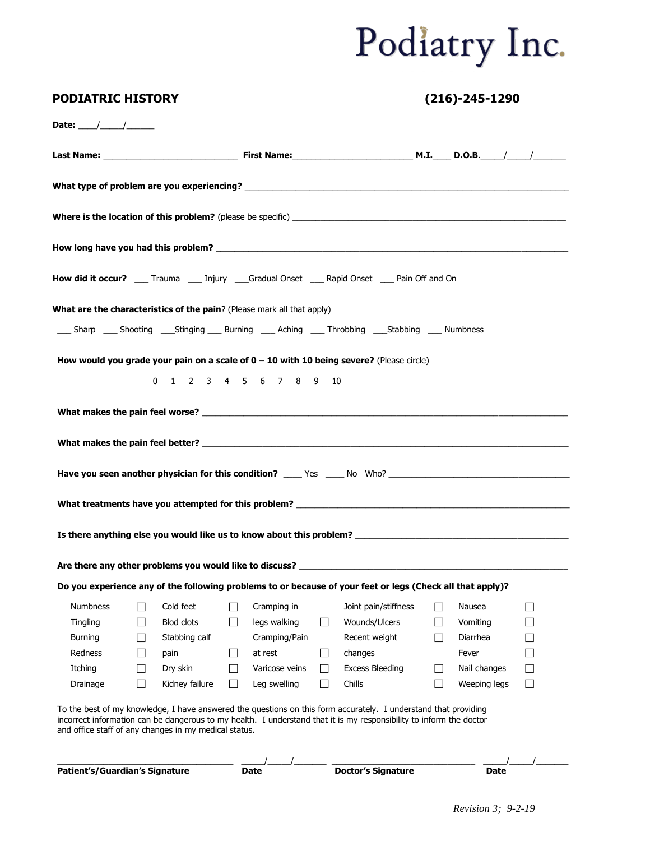|                 |                |                   |         |                                                                                |                   | How did it occur? ____ Trauma ____ Injury ____Gradual Onset ____ Rapid Onset ____ Pain Off and On                                                                                                                              |                   |              |        |
|-----------------|----------------|-------------------|---------|--------------------------------------------------------------------------------|-------------------|--------------------------------------------------------------------------------------------------------------------------------------------------------------------------------------------------------------------------------|-------------------|--------------|--------|
|                 |                |                   |         | <b>What are the characteristics of the pain</b> ? (Please mark all that apply) |                   |                                                                                                                                                                                                                                |                   |              |        |
|                 |                |                   |         |                                                                                |                   | ______ Sharp ______ Shooting _______ Stinging ______ Burning ______ Aching _______ Throbbing ______Stabbing ______ Numbness                                                                                                    |                   |              |        |
|                 |                |                   |         |                                                                                |                   | How would you grade your pain on a scale of $0 - 10$ with 10 being severe? (Please circle)                                                                                                                                     |                   |              |        |
|                 |                |                   |         | 0 1 2 3 4 5 6 7 8 9                                                            | 10                |                                                                                                                                                                                                                                |                   |              |        |
|                 |                |                   |         |                                                                                |                   |                                                                                                                                                                                                                                |                   |              |        |
|                 |                |                   |         |                                                                                |                   |                                                                                                                                                                                                                                |                   |              |        |
|                 |                |                   |         |                                                                                |                   |                                                                                                                                                                                                                                |                   |              |        |
|                 |                |                   |         |                                                                                |                   |                                                                                                                                                                                                                                |                   |              |        |
|                 |                |                   |         |                                                                                |                   |                                                                                                                                                                                                                                |                   |              |        |
|                 |                |                   |         |                                                                                |                   | Have you seen another physician for this condition? _____ Yes _____ No Who? __________________________________                                                                                                                 |                   |              |        |
|                 |                |                   |         |                                                                                |                   |                                                                                                                                                                                                                                |                   |              |        |
|                 |                |                   |         |                                                                                |                   |                                                                                                                                                                                                                                |                   |              |        |
|                 |                |                   |         |                                                                                |                   |                                                                                                                                                                                                                                |                   |              |        |
|                 |                |                   |         |                                                                                |                   |                                                                                                                                                                                                                                |                   |              |        |
|                 |                |                   |         |                                                                                |                   | Are there any other problems you would like to discuss? The contract of the contract of the contract of the contract of the contract of the contract of the contract of the contract of the contract of the contract of the co |                   |              |        |
|                 |                |                   |         |                                                                                |                   | Do you experience any of the following problems to or because of your feet or legs (Check all that apply)?                                                                                                                     |                   |              |        |
| <b>Numbness</b> |                | Cold feet         |         | Cramping in                                                                    |                   | Joint pain/stiffness                                                                                                                                                                                                           |                   | Nausea       |        |
| <b>Tingling</b> |                | <b>Blod clots</b> | $\perp$ | legs walking                                                                   | $\Box$            | Wounds/Ulcers                                                                                                                                                                                                                  | $\Box$            | Vomiting     | - 1    |
| <b>Burning</b>  |                | Stabbing calf     |         | Cramping/Pain                                                                  |                   | Recent weight                                                                                                                                                                                                                  |                   | Diarrhea     | ┚      |
| Redness         | $\blacksquare$ | pain              |         | at rest                                                                        | $\vert \ \ \vert$ | changes                                                                                                                                                                                                                        |                   | Fever        | $\Box$ |
| Itching         | $\Box$         | Dry skin          | $\Box$  | Varicose veins                                                                 | $\vert \ \ \vert$ | <b>Excess Bleeding</b>                                                                                                                                                                                                         | $\vert \ \ \vert$ | Nail changes | $\Box$ |

**PODIATRIC HISTORY (216)-245-1290**

\_\_\_\_\_\_\_\_\_\_\_\_\_\_\_\_\_\_\_\_\_\_\_\_\_\_\_\_\_\_\_\_\_\_\_\_\_\_ \_\_\_\_\_/\_\_\_\_\_/\_\_\_\_\_\_\_ \_\_\_\_\_\_\_\_\_\_\_\_\_\_\_\_\_\_\_\_\_\_\_\_\_\_\_\_\_\_\_ \_\_\_\_\_/\_\_\_\_\_/\_\_\_\_\_\_\_ **Patient's/Guardian's Signature** Date **Date Date Doctor's Signature** Date **Date**